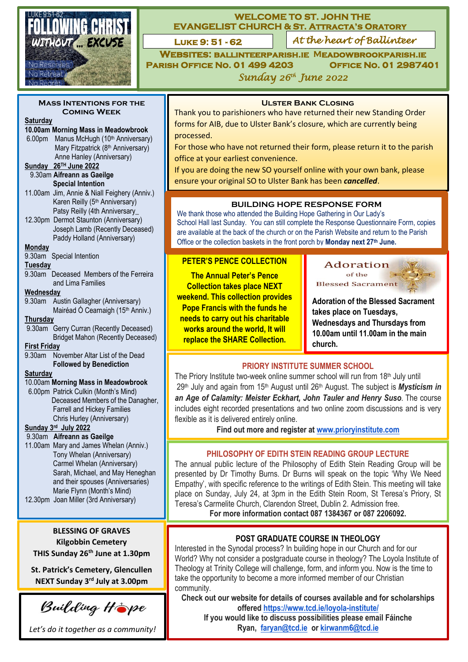

## **WELCOME TO ST. JOHN THE EVANGELIST CHURCH & St. Attracta's Oratory**

**LUKE 9: 51 - 62** 

**Luke 9: 51 - 62** *At the heart of Ballinteer*

**Websites: [ballinteerparish.ie](https://ballinteerparish.ie/) Meadowbrookparish.ie Parish Office No. 01 499 4203 Office No. 01 2987401** *Sunday 26 th June 2022* 

**Mass Intentions for the Coming Week** 

#### **Saturday**

#### **10.00am Morning Mass in Meadowbrook**

6.00pm Manus McHugh (10<sup>th</sup> Anniversary) Mary Fitzpatrick (8<sup>th</sup> Anniversary) Anne Hanley (Anniversary)

# Tony 9.30am **Aifreann as Gaeilge Sunday 26TH June 2022**

**Special Intention** 11.00am Jim, Annie & Niall Feighery (Anniv.) Karen Reilly (5<sup>th</sup> Anniversary)

Patsy Reilly (4th Anniversary\_ 12.30pm Dermot Staunton (Anniversary) Joseph Lamb (Recently Deceased) Paddy Holland (Anniversary)

**Monday** 

9.30am Special Intention

#### **Tuesday**

9.30am Deceased Members of the Ferreira and Lima Families

## **Wednesday**

9.30am Austin Gallagher (Anniversary) Mairéad Ó Cearnaigh (15<sup>th</sup> Anniv.)

#### **Thursday**

9.30am Gerry Curran (Recently Deceased) Bridget Mahon (Recently Deceased)

## **First Friday**

9.30am November Altar List of the Dead **Followed by Benediction**

#### **Saturday**

#### 10.00am **Morning Mass in Meadowbrook**

6.00pm Patrick Culkin (Month's Mind) Deceased Members of the Danagher, Farrell and Hickey Families Chris Hurley (Anniversary)

#### **Sunday 3 rd July 2022**

#### 9.30am **Aifreann as Gaeilge**

11.00am Mary and James Whelan (Anniv.) Tony Whelan (Anniversary) Carmel Whelan (Anniversary) Sarah, Michael, and May Heneghan and their spouses (Anniversaries) Marie Flynn (Month's Mind)

## 12.30pm Joan Miller (3rd Anniversary)

# **BLESSING OF GRAVES Kilgobbin Cemetery**

**THIS Sunday 26th June at 1.30pm**

**St. Patrick's Cemetery, Glencullen NEXT Sunday 3rd July at 3.00pm**

Building Hope

*Let's do it together as a community!*

## **Ulster Bank Closing**

Thank you to parishioners who have returned their new Standing Order forms for AIB, due to Ulster Bank's closure, which are currently being processed.

For those who have not returned their form, please return it to the parish office at your earliest convenience.

If you are doing the new SO yourself online with your own bank, please ensure your original SO to Ulster Bank has been *cancelled*.

## **BUILDING HOPE RESPONSE FORM**

We thank those who attended the Building Hope Gathering in Our Lady's School Hall last Sunday. You can still complete the Response Questionnaire Form, copies are available at the back of the church or on the Parish Website and return to the Parish Office or the collection baskets in the front porch by **Monday next 27th June.**

## **PETER'S PENCE COLLECTION**

**The Annual Peter's Pence Collection takes place NEXT weekend. This collection provides Pope Francis with the funds he needs to carry out his charitable works around the world, It will replace the SHARE Collection.**



**Adoration of the Blessed Sacrament takes place on Tuesdays, Wednesdays and Thursdays from 10.00am until 11.00am in the main church.**

## **PRIORY INSTITUTE SUMMER SCHOOL**

The Priory Institute two-week online summer school will run from 18<sup>th</sup> July until 29<sup>th</sup> July and again from 15<sup>th</sup> August until 26<sup>th</sup> August. The subject is **Mysticism in** *an Age of Calamity: Meister Eckhart, John Tauler and Henry Suso.* The course includes eight recorded presentations and two online zoom discussions and is very flexible as it is delivered entirely online.

**Find out more and register at [www.prioryinstitute.com](http://www.prioryinstitute.com/)**

## **PHILOSOPHY OF EDITH STEIN READING GROUP LECTURE**

The annual public lecture of the Philosophy of Edith Stein Reading Group will be presented by Dr Timothy Burns. Dr Burns will speak on the topic 'Why We Need Empathy', with specific reference to the writings of Edith Stein. This meeting will take place on Sunday, July 24, at 3pm in the Edith Stein Room, St Teresa's Priory, St Teresa's Carmelite Church, Clarendon Street, Dublin 2. Admission free. **For more information contact 087 1384367 or 087 2206092.**

# **POST GRADUATE COURSE IN THEOLOGY**

Interested in the Synodal process? In building hope in our Church and for our World? Why not consider a postgraduate course in theology? The Loyola Institute of Theology at Trinity College will challenge, form, and inform you. Now is the time to take the opportunity to become a more informed member of our Christian community.

**Check out our website for details of courses available and for scholarships offered <https://www.tcd.ie/loyola-institute/>**

**If you would like to discuss possibilities please email Fáinche Ryan, [faryan@tcd.ie](mailto:faryan@tcd.ie) or [kirwanm6@tcd.ie](mailto:kirwanm6@tcd.ie)**